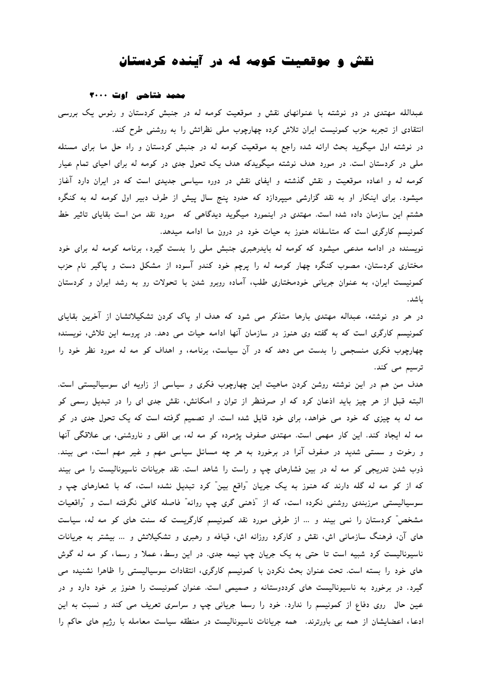# نقش و موقعیت کو*مه* **که در آینده کردستان**

#### محمد ضناحی اوت ٣٠٠٠

عبدالله مهتدی در دو نوشته با عنوانهای نقش و موقعیت کومه له در جنبش کردستان و رئوس یک بررسی انتقادی از تجربه حزب کمونیست ایران تلاش کرده چهارچوب ملی نظراتش را به روشنی طرح کند. در نوشته اول میگوید بحث ارائه شده راجع به موقعیت کومه له در جنبش کردستان و راه حل ما برای مسئله ملی در کردستان است. در مورد هدف نوشته میگویدکه هدف یک تحول جدی در کومه له برای احیای تمام عیار کومه له و اعـاده مـوقعیت و نقش گذشته و ایفای نقش در دوره سیاسی جدیدی است که در ایران دارد آغـاز میشود. برای اینکار او به نقد گزارشی میپردازد که حدود پنج سال پیش از طرف دبیر اول کومه له به کنگره هشتم این سازمان داده شده است. مهتدی در اینمورد میگوید دیدگاهی که مورد نقد من است بقایای تاثیر خط کمونیسم کارگری است که متاسفانه هنوز به حیات خود در درون ما ادامه میدهد.

نویسنده در ادامه مدعی میشود که کومه له بایدرهبری جنبش ملی را بدست گیرد، برنامه کومه له برای خود مختاری کردستان، مصوب کنگره چهار کومه له را پرچم خود کندو آسوده از مشکل دست و پاگیر نام حزب کمونیست ایران، به عنوان جریانی خودمختاری طلب، آماده روبرو شدن با تحولات رو به رشد ایران و کردستان باشد.

در هر دو نوشته، عبداله مهتدی بارها متذکر می شود که هدف او پاک کردن تشکیلاتشان از آخرین بقایای کمونیسم کارگری است که به گفته وی هنوز در سازمان آنها ادامه حیات می دهد. در پروسه این تلاش، نویسنده چهارچوب فکری منسجمی را بدست می دهد که در آن سیاست، برنامه، و اهداف کو مه له مورد نظر خود را ترسیم م*ی* کند.

هدف من هم در این نوشته روشن کردن ماهیت این چهارچوب فکری و سیاسی از زاویه ای سوسیالیستی است. البته قبل از هر چیز باید اذعان کرد که او صرفنظر از توان و امکانش، نقش جدی ای را در تبدیل رسمی کو مه له به چیزی که خود می خواهد، برای خود قایل شده است. او تصمیم گرفته است که یک تحول جدی در کو مه له ایجاد کند. این کار مهمی است. مهتدی صفوف پژمرده کو مه له، بی افقی و ناروشنبی، بی علاقگی آنها و رخوت و سستی شدید در صفوف آنرا در برخورد به هر چه مسائل سیاسی مهم و غیر مهم است، می بیند. ذوب شدن تدریجی کو مه له در بین فشارهای چپ و راست را شاهد است. نقد جریانات ناسیونالیست را می بیند که از کو مه له گله دارند که هنوز به یک جریان "واقع بین" کرد تبدیل نشده است، که با شعارهای چپ و سوسیالیستمی مرزبندی روشنی نکرده است، که از "ذهنبی گری چپ روانه" فاصله کافبی نگرفته است و "واقعیات مشخص" کردستان را نمی بیند و … از طرفی مورد نقد کمونیسم کارگریست که سنت های کو مه له، سیاست های آن، فرهنگ سازمانی اش، نقش و کارکرد روزانه اش، قیافه و رهبری و تشکیلاتش و … بیشتر به جریانات ناسیونالیست کرد شبیه است تا حتی به یک جریان چپ نیمه جدی. در این وسط، عملا و رسما، کو مه له گوش های خود را بسته است. تحت عنوان بحث نکردن با کمونیسم کارگری، انتقادات سوسیالیستی را ظاهرا نشنیده می گیرد. در برخورد به ناسیونالیست های کرددوستانه و صمیمی است. عنوان کمونیست را هنوز بر خود دارد و در عین حال روی دفاع از کمونیسم را ندارد. خود را رسما جریانی چپ و سراسری تعریف می کند و نسبت به این ادعا، اعضایشان از همه بی باورترند. همه جریانات ناسیونالیست در منطقه سیاست معامله با رژیم های حاکم را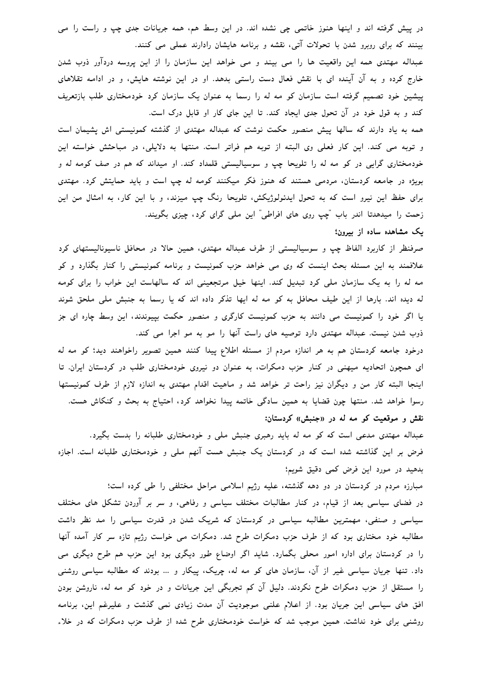در پیش گرفته اند و اینها هنوز خاتمی چی نشده اند. در این وسط هم، همه جریانات جدی چپ و راست را می بینند که برای روبرو شدن با تحولات آتی، نقشه و برنامه هایشان رادارند عملی می کنند.

عبداله مهتدی همه این واقعیت ها را می بیند و می خواهد این سازمان را از این پروسه دردآور ذوب شدن خارج کرده و به آن آینده ای با نقش فعال دست راستی بدهد. او در این نوشته هایش، و در ادامه تقلاهای پیشین خود تصمیم گرفته است سازمان کو مه له را رسما به عنوان یک سازمان کرد خودمختاری طلب بازتعریف کند و به قول خود در آن تحول جدی ایجاد کند. تا این جای کار او قابل درک است.

همه به یاد دارند که سالها پیش منصور حکمت نوشت که عبداله مهتدی از گذشته کمونیستی اش پشیمان است و توبه می کند. این کار فعلی وی البته از توبه هم فراتر است. منتها به دلایلی، در مباحثش خواسته این خودمختاری گرایی در کو مه له را تلویحا چپ و سوسیالیستی قلمداد کند. او میداند که هم در صف کومه له و بویژه در جامعه کردستان، مردمی هستند که هنوز فکر میکنند کومه له چپ است و باید حمایتش کرد. مهتدی برای حفظ این نیرو است که به تحول ایدئولوژیکش، تلویحا رنگ چپ میزند، و با این کار، به امثال من این زحمت را میدهدتا اندر باب "چپ روی های افراطی" این ملی گرای کرد، چیزی بگویند.

### یک مشاهده ساده از بیرون؛

صرفنظر از کاربرد الفاظ چپ و سوسیالیستی از طرف عبداله مهتدی، همین حالا در محافل ناسیونالیستهای کرد علافمند به این مسئله بحث اینست که وی می خواهد حزب کمونیست و برنامه کمونیستی را کنار بگذارد و کو مه له را به یک سازمان ملی کرد تبدیل کند. اینها خیل مرتجعینی اند که سالهاست این خواب را برای کومه له دیده اند. بارها از این طیف محافل به کو مه له ایها تذکر داده اند که یا رسما به جنبش ملی ملحق شوند یا اگر خود را کمونیست می دانند به حزب کمونیست کارگری و منصور حکمت بپیوندند، این وسط چاره ای جز ذوب شدن نیست. عبداله مهتدی دارد توصیه های راست آنها را مو به مو اجرا می کند.

درخود جامعه کردستان هم به هر اندازه مردم از مسئله اطلاع پیدا کنند همین تصویر راخواهند دید؛ کو مه له ای همچون اتحادیه میهنی در کنار حزب دمکرات، به عنوان دو نیروی خودمختاری طلب در کردستان ایران. تا اینجا البته کار من و دیگران نیز راحت تر خواهد شد و ماهیت اقدام مهتدی به اندازه لازم از طرف کمونیستها رسوا خواهد شد. منتها چون قضایا به همین سادگی خاتمه پیدا نخواهد کرد، احتیاج به بحث و کنکاش هست.

# نقش و موقعیت کو مه له در «جنبش» کردستان:

عبداله مهتدی مدعی است که کو مه له باید رهبری جنبش ملی و خودمختاری طلبانه را بدست بگیرد. فرض بر این گذاشته شده است که در کردستان یک جنبش هست آنهم ملی و خودمختاری طلبانه است. اجازه بدهید در مورد این فرض کمی دقیق شویم؛

مبارزه مردم در کردستان در دو دهه گذشته، علیه رژیم اسلامی مراحل مختلفی را طی کرده است؛ در فضای سیاسی بعد از قیام، در کنار مطالبات مختلف سیاسی و رفاهی، و سر بر آوردن تشکل های مختلف سیاسی و صنفی، مهمترین مطالبه سیاسی در کردستان که شریک شدن در قدرت سیاسی را مد نظر داشت مطالبه خود مختاری بود که از طرف حزب دمکرات طرح شد. دمکرات می خواست رژیم تازه سر کار آمده آنها را در کردستان برای اداره امور محلی بگمارد. شاید اگر اوضاع طور دیگری بود این حزب هم طرح دیگری می داد. تنها جریان سیاسی غیر از آن، سازمان های کو مه له، چریک، پیکار و … بودند که مطالبه سیاسی روشنی را مستقل از حزب دمکرات طرح نکردند. دلیل آن کم تجربگی این جریانات و در خود کو مه له، ناروشن بودن افق های سیاسی این جریان بود. از اعلام علنی موجودیت آن مدت زیادی نمی گذشت و علیرغم این، برنامه روشنی برای خود نداشت. همین موجب شد که خواست خودمختاری طرح شده از طرف حزب دمکرات که در خلاء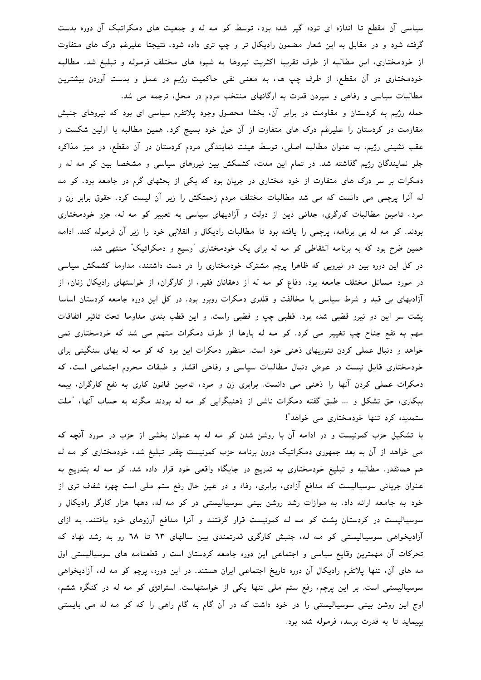سیاسی آن مقطع تا اندازه ای توده گیر شده بود، توسط کو مه له و جمعیت های دمکراتیک آن دوره بدست گرفته شود و در مقابل به این شعار مضمون رادیکال تر و چپ تری داده شود. نتیجتا علیرغم درک های متفاوت از خودمختاری، این مطالبه از طرف تقریبا اکثریت نیروها به شیوه های مختلف فرموله و تبلیغ شد. مطالبه خودمختاری در آن مقطع، از طرف چپ ها، به معنی نفی حاکمیت رژیم در عمل و بدست آوردن بیشترین مطالبات سیاسی و رفاهی و سپردن قدرت به ارگانهای منتخب مردم در محل، ترجمه می شد.

حمله رژیم به کردستان و مقاومت در برابر آن، بخشا محصول وجود پلاتفرم سیاسی ای بود که نیروهای جنبش مقاومت در کردستان را علیرغم درک های متفاوت از آن حول خود بسیج کرد. همین مطالبه با اولین شکست و عقب نشینی رژیم، به عنوان مطالبه اصلی، توسط هیئت نمایندگی مردم کردستان در آن مقطع، در میز مذاکره جلو نمایندگان رژیم گذاشته شد. در تمام این مدت، کشمکش بین نیروهای سیاسی و مشخصا بین کو مه له و دمکرات بر سر درک های متفاوت از خود مختاری در جریان بود که یکی از بحثهای گرم در جامعه بود. کو مه له آنرا پرچمی می دانست که می شد مطالبات مختلف مردم زحمتکش را زیر آن لیست کرد. حقوق برابر زن و مرد، تامین مطالبات کارگری، جدائی دین از دولت و آزادیهای سیاسی به تعبیر کو مه له، جزو خودمختاری بودند. کو مه له بی برنامه، پرچمی را یافته بود تا مطالبات رادیکال و انقلابی خود را زیر آن فرموله کند. ادامه همین طرح بود که به برنامه التقاطی کو مه له برای یک خودمختاری "وسیع و دمکراتیک" منتهی شد.

در کل این دوره بین دو نیرویی که ظاهرا پرچم مشترک خودمختاری را در دست داشتند، مداوما کشمکش سیاسی در مورد مسائل مختلف جامعه بود. دفاع کو مه له از دهقانان فقیر، از کارگران، از خواستهای رادیکال زنان، از آزادیهای بی قید و شرط سیاسی با مخالفت و قلدری دمکرات روبرو بود. در کل این دوره جامعه کردستان اساسا پشت سر این دو نیرو قطبی شده بود. قطبی چپ و قطبی راست. و این قطب بندی مداوما تحت تاثیر اتفاقات مهم به نفع جناح چپ تغییر می کرد. کو مه له بارها از طرف دمکرات متهم می شد که خودمختاری نمی خواهد و دنبال عملی کردن تئوریهای ذهنی خود است. منظور دمکرات این بود که کو مه له بهای سنگینی برای خودمختاری قایل نیست در عوض دنبال مطالبات سیاسی و رفاهی اقشار و طبقات محروم اجتماعی است، که دمکرات عملی کردن آنها را ذهنی می دانست. برابری زن و مرد، تامین قانون کاری به نفع کارگران، بیمه بیکاری، حق تشکل و … طبق گفته دمکرات ناشی از ذهنیگرایی کو مه له بودند مگرنه به حساب آنها، "ملت ستمدیده کرد تنها خودمختاری می خواهد"!

با تشکیل حزب کمونیست و در ادامه آن با روشن شدن کو مه له به عنوان بخشی از حزب در مورد آنچه که می خواهد از آن به بعد جمهوری دمکراتیک درون برنامه حزب کمونیست چقدر تبلیغ شد، خودمختاری کو مه له هم همانقدر. مطالبه و تبلیغ خودمختاری به تدریج در جایگاه واقعی خود قرار داده شد. کو مه له بتدریج به عنوان جریانی سوسیالیست که مدافع آزادی، برابری، رفاه و در عین حال رفع ستم ملی است چهره شفاف تری از خود به جامعه ارائه داد. به موازات رشد روشن بینی سوسیالیستی در کو مه له، دهها هزار کارگر رادیکال و سوسیالیست در کردستان پشت کو مه له کمونیست قرار گرفتند و آنرا مدافع آرزوهای خود یافتند. به ازای آزادیخواهی سوسیالیستی کو مه له، جنبش کارگری قدرتمندی بین سالهای ٦٣ تا ٦٨ رو به رشد نهاد که تحرکات آن مهمترین وقایع سیاسی و اجتماعی این دوره جامعه کردستان است و قطعنامه های سوسیالیستی اول مه های آن، تنها پلاتفرم رادیکال آن دوره تاریخ اجتماعی ایران هستند. در این دوره، پرچم کو مه له، آزادیخواهی سوسیالیستی است. بر این پرچم، رفع ستم ملی تنها یکی از خواستهاست. استراتژی کو مه له در کنگره ششم، اوج این روشن بینی سوسیالیستی را در خود داشت که در آن گام به گام راهی را که کو مه له می بایستی بپیماید تا به قدرت برسد، فرموله شده بود.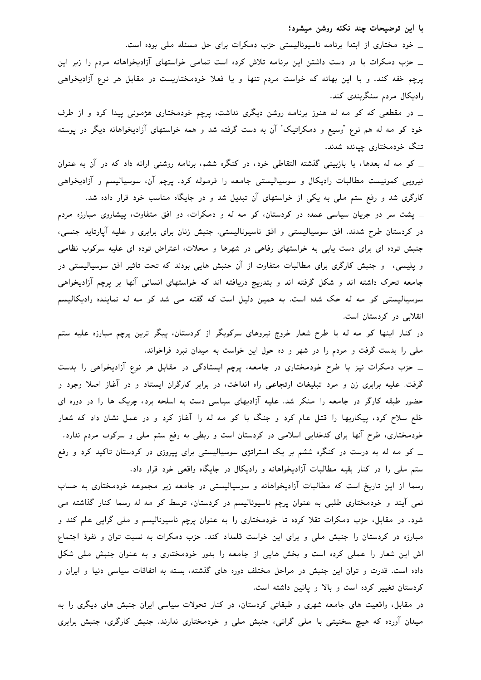با این توضیحات چند نکته روشن میشود؛

\_ خود مختاری از ابتدا برنامه ناسیونالیستی حزب دمکرات برای حل مسئله ملی بوده است. \_ حزب دمکرات با در دست داشتن این برنامه تلاش کرده است تمامی خواستهای آزادیخواهانه مردم را زیر این پرچم خفه کند. و با این بهانه که خواست مردم تنها و یا فعلا خودمختاریست در مقابل هر نوع آزادیخواهی رادیکال مردم سنگربندی کند.

\_ در مقطعی که کو مه له هنوز برنامه روشن دیگری نداشت، پرچم خودمختاری هژمونی پیدا کرد و از طرف خود کو مه له هم نوع "وسیع و دمکراتیک" آن به دست گرفته شد و همه خواستهای آزادیخواهانه دیگر در پوسته تنگ خودمختاری چیانده شدند.

\_ کو مه له بعدها، با بازبینی گذشته التقاطی خود، در کنگره ششم، برنامه روشنی ارائه داد که در آن به عنوان نیرویی کمونیست مطالبات رادیکال و سوسیالیستی جامعه را فرموله کرد. پرچم آن، سوسیالیسم و آزادیخواهی کارگری شد و رفع ستم ملی به یکی از خواستهای آن تبدیل شد و در جایگاه مناسب خود قرار داده شد.

\_ پشت سر دو جریان سیاسی عمده در کردستان، کو مه له و دمکرات، دو افق متفاوت، پیشاروی مبارزه مردم در کردستان طرح شدند. افق سوسیالیستی و افق ناسیونالیستی. جنبش زنان برای برابری و علیه آپارتاید جنسی، جنبش توده ای برای دست یابی به خواستهای رفاهی در شهرها و محلات، اعتراض توده ای علیه سرکوب نظامی و پلیسی، و جنبش کارگری برای مطالبات متفاوت از آن جنبش هایی بودند که تحت تاثیر افق سوسیالیستی در جامعه تحرک داشته اند و شکل گرفته اند و بتدریج دریافته اند که خواستهای انسانی آنها بر پرچم آزادیخواهی سوسیالیستی کو مه له حک شده است. به همین دلیل است که گفته می شد کو مه له نماینده رادیکالیسم انقلابی در کردستان است.

در کنار اینها کو مه له با طرح شعار خروج نیروهای سرکوبگر از کردستان، پیگر ترین پرچم مبارزه علیه ستم ملی را بدست گرفت و مردم را در شهر و ده حول این خواست به میدان نبرد فراخواند.

\_ حزب دمکرات نیز با طرح خودمختاری در جامعه، پرچم ایستادگی در مقابل هر نوع آزادیخواهی را بدست گرفت. علیه برابری زن و مرد تبلیغات ارتجاعیی راه انداخت، در برابر کارگران ایستاد و در آغاز اصلا وجود و حضور طبقه کارگر در جامعه را منکر شد. علیه آزادیهای سیاسی دست به اسلحه برد، چریک ها را در دوره ای خلع سلاح کرد، پیکاریها را قتل عام کرد و جنگ با کو مه له را آغاز کرد و در عمل نشان داد که شعار خودمختاری، طرح آنها برای کدخدایی اسلامی در کردستان است و ربطی به رفع ستم ملی و سرکوب مردم ندارد. \_ کو مه له به درست در کنگره ششم بر یک استراتژی سوسیالیستی برای پیروزی در کردستان تاکید کرد و رفع ستم ملی را در کنار بقیه مطالبات آزادیخواهانه و رادیکال در جایگاه واقعی خود قرار داد.

رسما از این تاریخ است که مطالبات آزادیخواهانه و سوسیالیستی در جامعه زیر مجموعه خودمختاری به حساب نمی آیند و خودمختاری طلبی به عنوان پرچم ناسیونالیسم در کردستان، توسط کو مه له رسما کنار گذاشته می شود. در مقابل، حزب دمکرات تقلا کرده تا خودمختاری را به عنوان پرچم ناسیونالیسم و ملی گرایی علم کند و مبارزه در کردستان را جنبش ملی و برای این خواست قلمداد کند. حزب دمکرات به نسبت توان و نفوذ اجتماع اش این شعار را عملی کرده است و بخش هایی از جامعه را بدور خودمختاری و به عنوان جنبش ملی شکل داده است. قدرت و توان این جنبش در مراحل مختلف دوره های گذشته، بسته به اتفاقات سیاسی دنیا و ایران و کردستان تغییر کرده است و بالا و پائین داشته است.

در مقابل، واقعیت های جامعه شهری و طبقاتی کردستان، در کنار تحولات سیاسی ایران جنبش های دیگری را به میدان آورده که هیچ سخنیتی با ملی گرائی، جنبش ملی و خودمختاری ندارند. جنبش کارگری، جنبش برابری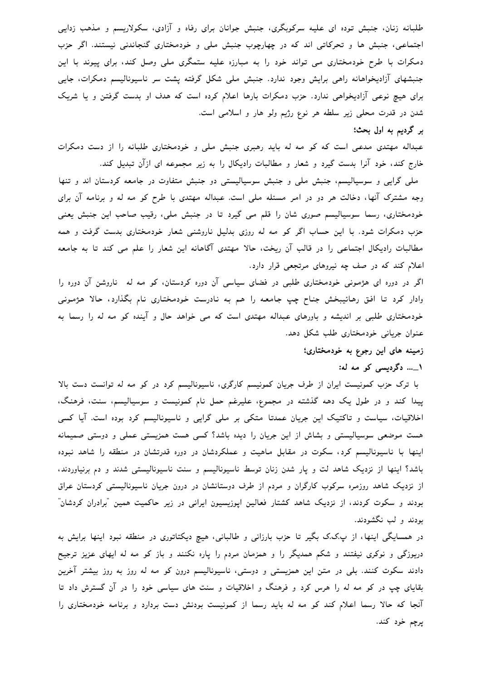طلبانه زنان، جنبش توده ای علیه سرکوبگری، جنبش جوانان برای رفاه و آزادی، سکولاریسم و مذهب زدایی اجتماعی، جنبش ها و تحرکاتی اند که در چهارچوب جنبش ملی و خودمختاری گنجاندنی نیستند. اگر حزب دمکرات با طرح خودمختاری می تواند خود را به مبارزه علیه ستمگری ملی وصل کند، برای پیوند با این جنبشهای آزادیخواهانه راهی برایش وجود ندارد. جنبش ملی شکل گرفته یشت سر ناسیونالیسم دمکرات، جایی برای هیچ نوعی آزادیخواهی ندارد. حزب دمکرات بارها اعلام کرده است که هدف او بدست گرفتن و یا شریک شدن در قدرت محلی زیر سلطه هر نوع رژیم ولو هار و اسلامی است.

## بر گرديم به اول بحث؛

عبداله مهتدی مدعی است که کو مه له باید رهبری جنبش ملی و خودمختاری طلبانه را از دست دمکرات خارج کند، خود آنرا بدست گیرد و شعار و مطالبات رادیکال را به زیر مجموعه ای ازآن تبدیل کند.

ملی گرایی و سوسیالیسم، جنبش ملی و جنبش سوسیالیستی دو جنبش متفاوت در جامعه کردستان اند و تنها وجه مشترک آنها، دخالت هر دو در امر مسئله ملی است. عبداله مهتدی با طرح کو مه له و برنامه آن برای خودمختاری، رسما سوسیالیسم صوری شان را قلم می گیرد تا در جنبش ملی، رقیب صاحب این جنبش یعنی حزب دمکرات شود. با این حساب اگر کو مه له روزی بدلیل ناروشنی شعار خودمختاری بدست گرفت و همه مطالبات رادیکال اجتماعی را در قالب آن ریخت، حالا مهتدی آگاهانه این شعار را علم می کند تا به جامعه اعلام کند که در صف چه نیروهای مرتجعی قرار دارد.

اگر در دوره ای هژمونی خودمختاری طلبی در فضای سیاسی آن دوره کردستان، کو مه له ناروشن آن دوره را وادار کرد تا افق رهائیبخش جناح چپ جامعه را هم به نادرست خودمختاری نام بگذارد، حالا هژمونی خودمختاری طلبی بر اندیشه و باورهای عبداله مهتدی است که می خواهد حال و آینده کو مه له را رسما به عنوان جریانی خودمختاری طلب شکل دهد.

## زمینه های این رجوع به خودمختاری؛

# ۱\_... دگردیسی کو مه له:

با ترک حزب کمونیست ایران از طرف جریان کمونیسم کارگری، ناسیونالیسم کرد در کو مه له توانست دست بالا پیدا کند و در طول یک دهه گذشته در مجموع، علیرغم حمل نام کمونیست و سوسیالیسم، سنت، فرهنگ، اخلاقیات، سیاست و تاکتیک این جریان عمدتا متکی بر ملی گرایی و ناسپونالیسم کرد بوده است. آیا کسی هست موضعی سوسیالیستی و بشاش از این جریان را دیده باشد؟ کسی هست همزیستی عملی و دوستی صمیمانه اینها با ناسیونالیسم کرد، سکوت در مقابل ماهیت و عملکردشان در دوره قدرتشان در منطقه را شاهد نبوده باشد؟ اینها از نزدیک شاهد لت و پار شدن زنان توسط ناسیونالیسم و سنت ناسیونالیستی شدند و دم برنیاوردند، از نزدیک شاهد روزمره سرکوب کارگران و مردم از طرف دوستانشان در درون جریان ناسیونالیستی کردستان عراق بودند و سکوت کردند، از نزدیک شاهد کشتار فعالین اپوزیسیون ایرانی در زیر حاکمیت همین "برادران کردشان" بودند و لب نگشودند.

در همسایگی اینها، از پ.ک.ک بگیر تا حزب بارزانی و طالبانی، هیچ دیکتاتوری در منطقه نبود اینها برایش به دریوزگی و نوکری نیفتند و شکم همدیگر را و همزمان مردم را پاره نکنند و باز کو مه له ایهای عزیز ترجیح دادند سکوت کنند. بلی در متن این همزیستی و دوستی، ناسیونالیسم درون کو مه له روز به روز بیشتر آخرین بقایای چپ در کو مه له را هرس کرد و فرهنگ و اخلاقیات و سنت های سیاسی خود را در آن گسترش داد تا آنجا که حالا رسما اعلام کند کو مه له باید رسما از کمونیست بودنش دست بردارد و برنامه خودمختاری را پرچم خود کند.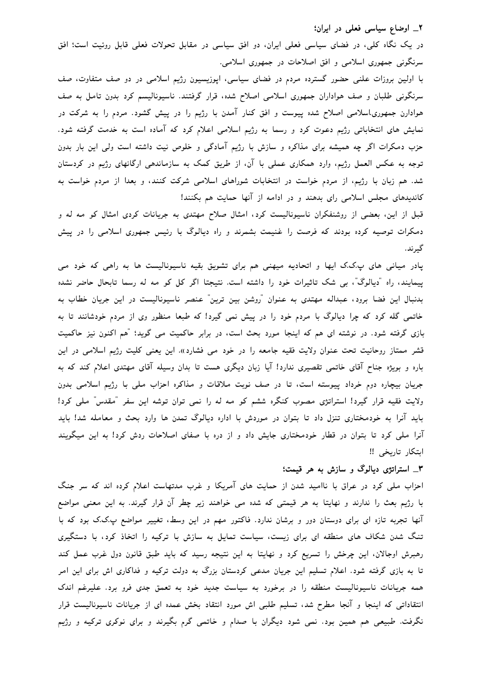## ٢\_ اوضاع سياسي فعلي در ايران؛

در یک نگاه کلی، در فضای سیاسی فعلی ایران، دو افق سیاسی در مقابل تحولات فعلی قابل روئیت است؛ افق سرنگونی جمهوری اسلامی و افق اصلاحات در جمهوری اسلامی.

با اولین بروزات علنی حضور گسترده مردم در فضای سیاسی، اپوزیسیون رژیم اسلامی در دو صف متفاوت، صف سرنگونی طلبان و صف هواداران جمهوری اسلامی اصلاح شده، قرار گرفتند. ناسیونالیسم کرد بدون تامل به صف هوادارن جمهوری!سلامی اصلاح شده پیوست و افق کنار آمدن با رژیم را در پیش گشود. مردم را به شرکت در نمایش های انتخاباتی رژیم دعوت کرد و رسما به رژیم اسلامی اعلام کرد که آماده است به خدمت گرفته شود. حزب دمکرات اگر چه همیشه برای مذاکره و سازش با رژیم آمادگی و خلوص نیت داشته است ولی این بار بدون توجه به عکس العمل رژیم، وارد همکاری عملی با آن، از طریق کمک به سازماندهی ارگانهای رژیم در کردستان شد. هم زبان با رژیم، از مردم خواست در انتخابات شوراهای اسلامی شرکت کنند، و بعدا از مردم خواست به کاندیدهای مجلس اسلامی رای بدهند و در ادامه از آنها حمایت هم بکنند!

قبل از این، بعضی از روشنفکران ناسیونالیست کرد، امثال صلاح مهتدی به جریانات کردی امثال کو مه له و دمکرات توصیه کرده بودند که فرصت را غنیمت بشمرند و راه دیالوگ با رئیس جمهوری اسلامی را در پیش گيرند.

پادر میانی های پ.ک.ک ایها و اتحادیه میهنی هم برای تشویق بقیه ناسیونالیست ها به راهی که خود می پیمایند، راه "دیالوگ"، بی شک تاثیرات خود را داشته است. نتیجتا اگر کل کو مه له رسما تابحال حاضر نشده بدنبال این فضا برود، عبداله مهتدی به عنوان "روشن بین ترین" عنصر ناسیونالیست در این جریان خطاب به خاتمی گله کرد که چرا دیالوگ با مردم خود را در پیش نمی گیرد! که طبعا منظور وی از مردم خودشانند تا به بازی گرفته شود. در نوشته ای هم که اینجا مورد بحث است، در برابر حاکمیت می گوید؛ "هم اکنون نیز حاکمیت قشر ممتاز روحانیت تحت عنوان ولایت فقیه جامعه را در خود می فشارد». این یعنی کلیت رژیم اسلامی در این باره و بویژه جناح آقای خاتمی تقصیری ندارد! آیا زبان دیگری هست تا بدان وسیله آقای مهتدی اعلام کند که به جریان بیچاره دوم خرداد پیوسته است، تا در صف نوبت ملاقات و مذاکره احزاب ملی با رژیم اسلامی بدون ولایت فقیه قرار گیرد! استراتژی مصوب کنگره ششم کو مه له را نمی توان توشه این سفر "مقدس" ملی کرد! باید آنرا به خودمختاری تنزل داد تا بتوان در موردش با اداره دیالوگ تمدن ها وارد بحث و معامله شد! باید آنرا ملی کرد تا بتوان در قطار خودمختاری جایش داد و از دره با صفای اصلاحات ردش کرد! به این میگویند ابتكار تاريخى !!

# ۳\_ استراتژی دیالوگ و سازش به هر قیمت؛

احزاب ملی کرد در عراق با ناامید شدن از حمایت های آمریکا و غرب مدتهاست اعلام کرده اند که سر جنگ با رژیم بعث را ندارند و نهایتا به هر قیمتی که شده می خواهند زیر چطر آن قرار گیرند. به این معنی مواضع آنها تجربه تازه ای برای دوستان دور و برشان ندارد. فاکتور مهم در این وسط، تغییر مواضع پ.ک.ک بود که با تنگ شدن شکاف های منطقه ای برای زیست، سیاست تمایل به سازش با ترکیه را اتخاذ کرد، با دستگیری رهبرش اوجالان، این چرخش را تسریع کرد و نهایتا به این نتیجه رسید که باید طبق قانون دول غرب عمل کند تا به بازی گرفته شود. اعلام تسلیم این جریان مدعی کردستان بزرگ به دولت ترکیه و فداکاری اش برای این امر همه جریانات ناسیونالیست منطقه را در برخورد به سیاست جدید خود به تعمق جدی فرو برد. علیرغم اندک انتقاداتی که اینجا و آنجا مطرح شد، تسلیم طلبی اش مورد انتقاد بخش عمده ای از جریانات ناسیونالیست قرار نگرفت. طبیعی هم همین بود. نمی شود دیگران با صدام و خاتمی گرم بگیرند و برای نوکری ترکیه و رژیم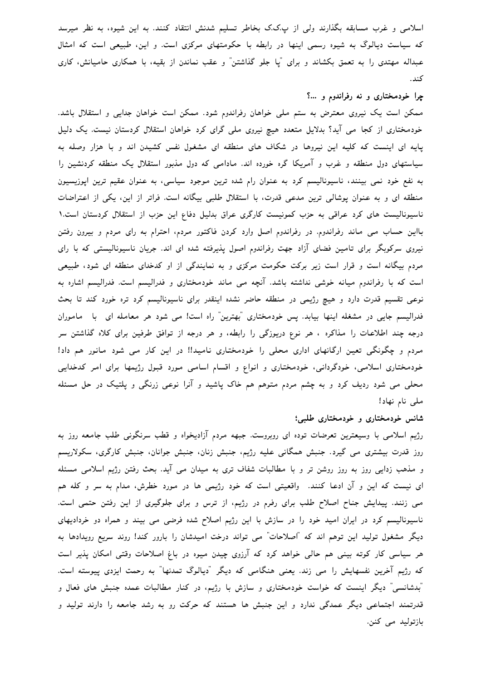اسلامی و غرب مسابقه بگذارند ولی از پ.ک.ک بخاطر تسلیم شدنش انتقاد کنند. به این شیوه، به نظر میرسد که سیاست دیالوگ به شیوه رسمی اینها در رابطه با حکومتهای مرکزی است. و این، طبیعی است که امثال عبداله مهتدی را به تعمق بکشاند و برای "یا جلو گذاشتن" و عقب نماندن از بقیه، با همکاری حامیانش، کاری كند.

### چرا خودمختاری و نه رفراندوم و …؟

ممکن است یک نیروی معترض به ستم ملی خواهان رفراندوم شود. ممکن است خواهان جدایی و استقلال باشد. خودمختاری از کجا می آید؟ بدلایل متعدد هیچ نیروی ملی گرای کرد خواهان استقلال کردستان نیست. یک دلیل پایه ای اینست که کلیه این نیروها در شکاف های منطقه ای مشغول نفس کشیدن اند و با هزار وصله به سیاستهای دول منطقه و غرب و آمریکا گره خورده اند. مادامی که دول مذبور استقلال یک منطقه کردنشین را به نفع خود نمی بینند، ناسیونالیسم کرد به عنوان رام شده ترین موجود سیاسی، به عنوان عقیم ترین اپوزیسیون منطقه ای و به عنوان پوشالی ترین مدعی قدرت، با استقلال طلبی بیگانه است. فراتر از این، یکی از اعتراضات ناسیونالیست های کرد عراقی به حزب کمونیست کارگری عراق بدلیل دفاع این حزب از استقلال کردستان است.١ بااین حساب می ماند رفراندوم. در رفراندوم اصل وارد کردن فاکتور مردم، احترام به رای مردم و بیرون رفتن نیروی سرکوبگر برای تامین فضای آزاد جهت رفراندوم اصول پذیرفته شده ای اند. جریان ناسیونالیستی که با رای مردم بیگانه است و قرار است زیر برکت حکومت مرکزی و به نمایندگی از او کدخدای منطقه ای شود، طبیعی است که با رفراندوم میانه خوشی نداشته باشد. آنچه می ماند خودمختاری و فدرالیسم است. فدرالیسم اشاره به نوعی تقسیم قدرت دارد و هیچ رژیمی در منطقه حاضر نشده اینقدر برای ناسیونالیسم کرد تره خورد کند تا بحث فدرالیسم جایی در مشغله اینها بیابد. پس خودمختاری "بهترین" راه است! می شود هر معامله ای با ماموران درجه چند اطلاعات را مذاکره ، هر نوع درپوزگی را رابطه، و هر درجه از توافق طرفین برای کلاه گذاشتن سر مردم و چگونگی تعین ارگانهای اداری محلی را خودمختاری نامید!! در این کار می شود مانور هم داد! خودمختاری اسلامی، خودگردانی، خودمختاری و انواع و اقسام اسامی مورد قبول رژیمها برای امر کدخدایی محلی می شود ردیف کرد و به چشم مردم متوهم هم خاک پاشید و آنرا نوعی زرنگی و پلتیک در حل مسئله ملی نام نهاد!

#### شانس خودمختاری و خودمختاری طلبی؛

رژیم اسلامی با وسیعترین تعرضات توده ای روبروست. جبهه مردم آزادیخواه و قطب سرنگونی طلب جامعه روز به روز قدرت بیشتری می گیرد. جنبش همگانی علیه رژیم، جنبش زنان، جنبش جوانان، جنبش کارگری، سکولاریسم و مذهب زدایی روز به روز روشن تر و با مطالبات شفاف تری به میدان می آید. بحث رفتن رژیم اسلامی مسئله ای نیست که این و آن ادعا کنند. واقعیتی است که خود رژیمی ها در مورد خطرش، مدام به سر و کله هم می زنند. پیدایش جناح اصلاح طلب برای رفرم در رژیم، از ترس و برای جلوگیری از این رفتن حتمی است. ناسیونالیسم کرد در ایران امید خود را در سازش با این رژیم اصلاح شده فرضی می بیند و همراه دو خردادیهای دیگر مشغول تولید این توهم اند که "اصلاحات" می تواند درخت امیدشان را بارور کند! روند سریع رویدادها به هر سیاسی کار کوته بینی هم حالی خواهد کرد که آرزوی چیدن میوه در باغ اصلاحات وقتی امکان پذیر است که رژیم آخرین نفسهایش را می زند. یعنی هنگامی که دیگر "دیالوگ تمدنها" به رحمت ایزدی پیوسته است. "بدشانسی" دیگر اینست که خواست خودمختاری و سازش با رژیم، در کنار مطالبات عمده جنبش های فعال و قدرتمند اجتماعی دیگر عمدگی ندارد و این جنبش ها هستند که حرکت رو به رشد جامعه را دارند تولید و بازتوليد مى كنن.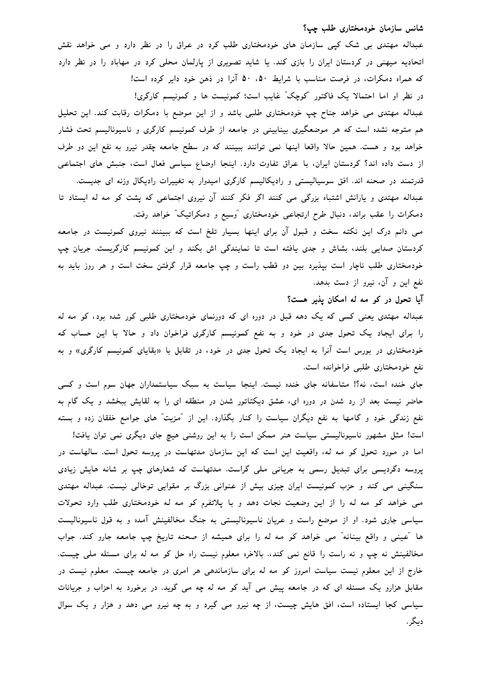#### شانس سازمان خودمختاری طلب چپ؟

عبداله مهتدی بی شک کیی سازمان های خودمختاری طلب کرد در عراق را در نظر دارد و می خواهد نقش اتحادیه میهنی در کردستان ایران را بازی کند. یا شاید تصویری از پارلمان محلی کرد در مهاباد را در نظر دارد که همراه دمکرات، در فرصت مناسب با شرایط ۵۰ ،۵۰ آنرا در ذهن خود دایر کرده است! در نظر او اما احتمالا یک فاکتور "کوچک" غایب است؛ کمونیست ها و کمونیسم کارگری! عبداله مهتدی می خواهد جناح چپ خودمختاری طلبی باشد و از این موضع با دمکرات رقابت کند. این تحلیل

هم متوجه نشده است که هر موضعگیری بینابینی در جامعه از طرف کمونیسم کارگری و ناسیونالیسم تحت فشار خواهد بود و هست. همین حالا واقعا اینها نمی توانند ببینند که در سطح جامعه چقدر نیرو به نفع این دو طرف از دست داده اند؟ كردستان ايران، با عراق تفاوت دارد. اينجا اوضاع سياسي فعال است، جنبش هاى اجتماعى قدرتمند در صحنه اند. افق سوسیالیستی و رادیکالیسم کارگری امیدوار به تغییرات رادیکال وزنه ای جدیست. عبداله مهتدی و یارانش اشتباه بزرگی می کنند اگر فکر کنند آن نیروی اجتماعی که پشت کو مه له ایستاد تا

دمکرات را عقب براند، دنبال طرح ارتجاعی خودمختاری "وسیع و دمکراتیک" خواهد رفت. می دانم درک این نکته سخت و قبول آن برای اینها بسیار تلخ است که ببینند نیروی کمونیست در جامعه کردستان صدایی بلند، بشاش و جدی یافته است تا نمایندگی اش بکند و این کمونیسم کارگریست. جریان چپ خودمختاری طلب ناچار است بپذیرد بین دو قطب راست و چپ جامعه قرار گرفتن سخت است و هر روز باید به نفع این و آن، نیرو از دست بدهد.

### آیا تحول در کو مه له امکان پذیر هست؟

عبداله مهتدی یعنی کسی که یک دهه قبل در دوره ای که دورنمای خودمختاری طلبی کور شده بود، کو مه له را برای ایجاد یک تحول جدی در خود و به نفع کمونیسم کارگری فراخوان داد و حالا با این حساب که خودمختاری در بورس است آنرا به ایجاد یک تحول جدی در خود، در تقابل با «بقایای کمونیسم کارگری» و به نفع خودمختاری طلبی فراخوانده است.

جای خنده است، نه؟! متاسفانه جای خنده نیست. اینجا سیاست به سبک سیاستمداران جهان سوم است و کسی حاضر نیست بعد از رد شدن در دوره ای، عشق دیکتاتور شدن در منطقه ای را به لقایش ببخشد و یک گام به نفع زندگی خود و گامها به نفع دیگران سیاست را کنار بگذارد. این از "مزیت" های جوامع خفقان زده و بسته

است! مثل مشهور ناسیونالیستی سیاست هنر ممکن است را به این روشنی هیچ جای دیگری نمی توان یافت! اما در مورد تحول کو مه له، واقعیت این است که این سازمان مدتهاست در پروسه تحول است. سالهاست در پروسه دگردیسی برای تبدیل رسمی به جریانی ملی گراست. مدتهاست که شعارهای چپ بر شانه هایش زیادی سنگینی می کند و حزب کمونیست ایران چیزی بیش از عنوانی بزرگ بر مقوایی توخالی نیست. عبداله مهتدی می خواهد کو مه له را از این وضعیت نجات دهد و با پلاتفرم کو مه له خودمختاری طلب وارد تحولات سیاسی جاری شود. او از موضع راست و عریان ناسیونالیستی به جنگ مخالفینش آمده و به قول ناسیونالیست ها "عینی و واقع بینانه" می خواهد کو مه له را برای همیشه از صحنه تاریخ چپ جامعه جارو کند. جواب مخالفینش نه چپ و نه راست را قانع نمی کند،. بالاخره معلوم نیست راه حل کو مه له برای مسئله ملی چیست. خارج از این معلوم نیست سیاست امروز کو مه له برای سازماندهی هر امری در جامعه چیست. معلوم نیست در مقابل هزارو یک مسئله ای که در جامعه پیش می آید کو مه له چه می گوید. در برخورد به احزاب و جریانات سیاسی کجا ایستاده است، افق هایش چیست، از چه نیرو می گیرد و به چه نیرو می دهد و هزار و یک سوال ديگر.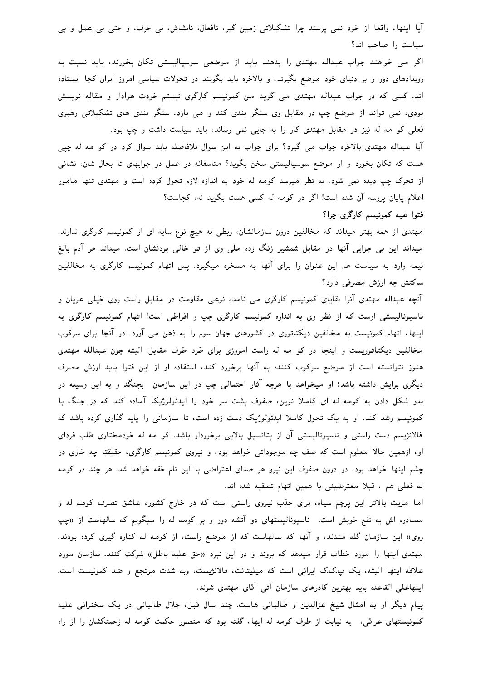آیا اینها، واقعا از خود نمی پرسند چرا تشکیلاتی زمین گیر، نافعال، نابشاش، بی حرف، و حتی بی عمل و بی سیاست را صاحب اند؟

اگر می خواهند جواب عبداله مهتدی را بدهند باید از موضعی سوسیالیستی تکان بخورند، باید نسبت به رویدادهای دور و بر دنیای خود موضع بگیرند، و بالاخره باید بگویند در تحولات سیاسی امروز ایران کجا ایستاده اند. کسی که در جواب عبداله مهتدی می گوید من کمونیسم کارگری نیستم خودت هوادار و مقاله نویسش بودی، نمی تواند از موضع چپ در مقابل وی سنگر بندی کند و می بازد. سنگر بندی های تشکیلاتی رهبری فعلی کو مه له نیز در مقابل مهتدی کار را به جایی نمی رساند، باید سیاست داشت و چپ بود.

آیا عبداله مهتدی بالاخره جواب می گیرد؟ برای جواب به این سوال بلافاصله باید سوال کرد در کو مه له چپی هست که تکان بخورد و از موضع سوسیالیستی سخن بگوید؟ متاسفانه در عمل در جوابهای تا بحال شان، نشانی از تحرک چپ دیده نمی شود. به نظر میرسد کومه له خود به اندازه لازم تحول کرده است و مهتدی تنها مامور اعلام پایان پروسه آن شده است! اگر در کومه له کسی هست بگوید نه، کجاست؟

# فتوا عیه کمونیسم کارگری چرا؟

مهتدی از همه بهتر میداند که مخالفین درون سازمانشان، ربطی به هیچ نوع سایه ای از کمونیسم کارگری ندارند. میداند این بی جوابی آنها در مقابل شمشیر زنگ زده ملی وی از تو خالی بودنشان است. میداند هر آدم بالغ نیمه وارد به سیاست هم این عنوان را برای آنها به مسخره میگیرد. پس اتهام کمونیسم کارگری به مخالفین ساکتش چه ارزش مصرفی دارد؟

آنچه عبداله مهتدی آنرا بقایای کمونیسم کارگری می نامد، نوعی مقاومت در مقابل راست روی خیلی عریان و ناسیونالیستی اوست که از نظر وی به اندازه کمونیسم کارگری چپ و افراطی است! اتهام کمونیسم کارگری به اینها، اتهام کمونیست به مخالفین دیکتاتوری در کشورهای جهان سوم را به ذهن می آورد. در آنجا برای سرکوب مخالفین دیکتاتوریست و اینجا در کو مه له راست امروزی برای طرد طرف مقابل. البته چون عبدالله مهتدی هنوز نتوانسته است از موضع سرکوب کننده به آنها برخورد کند، استفاده او از این فتوا باید ارزش مصرف دیگری برایش داشته باشد؛ او میخواهد با هرچه آثار احتمالی چپ در این سازمان بجنگد و به این وسیله در بدو شکل دادن به کومه له ای کاملا نوین، صفوف پشت سر خود را ایدئولوژیکا آماده کند که در جنگ با کمونیسم رشد کند. او به یک تحول کاملا ایدئولوژیک دست زده است، تا سازمانی را پایه گذاری کرده باشد که فالانژیسم دست راستی و ناسیونالیستی آن از پتانسیل بالایی برخوردار باشد. کو مه له خودمختاری طلب فردای او، ازهمین حالا معلوم است که صف چه موجوداتی خواهد بود، و نیروی کمونیسم کارگری، حقیقتا چه خاری در چشم اینها خواهد بود. در درون صفوف این نیرو هر صدای اعتراضی با این نام خفه خواهد شد. هر چند در کومه له فعلى هم ، قبلا معترضينى با همين اتهام تصفيه شده اند.

اما مزیت بالاتر این پرچم سیاه، برای جذب نیروی راستی است که در خارج کشور، عاشق تصرف کومه له و مصادره اش به نفع خویش است. ناسیونالیستهای دو آتشه دور و بر کومه له را میگویم که سالهاست از «چپ روی» این سازمان گله مندند، و آنها که سالهاست که از موضع راست، از کومه له کناره گیری کرده بودند. مهتدی اینها را مورد خطاب قرار میدهد که بروند و در این نبرد «حق علیه باطل» شرکت کنند. سازمان مورد علاقه اینها البته، یک پ.ک.ک ایرانی است که میلیتانت، فالانژیست، وبه شدت مرتجع و ضد کمونیست است. اینهاعلی القاعده باید بهترین کادرهای سازمان آتی آقای مهتدی شوند.

پیام دیگر او به امثال شیخ عزالدین و طالبانی هاست. چند سال قبل، جلال طالبانی در یک سخنرانی علیه کمونیستهای عراقبی، به نیابت از طرف کومه له ایها، گفته بود که منصور حکمت کومه له زحمتکشان را از راه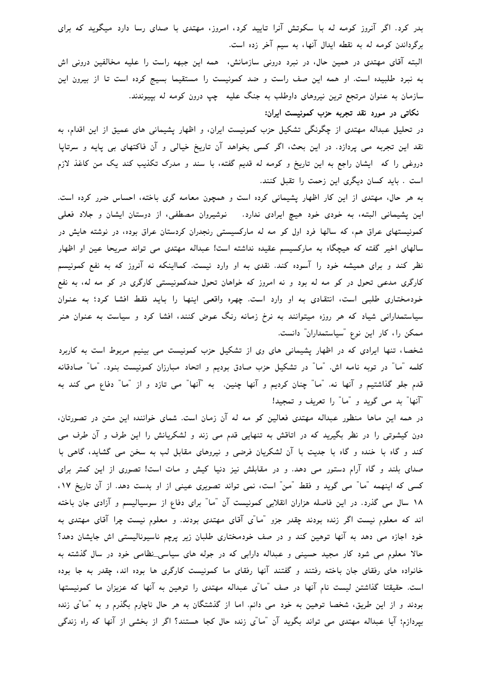بدر کرد. اگر آنروز کومه له با سکوتش آنرا تایید کرد، امروز، مهتدی با صدای رسا دارد میگوید که برای برگرداندن کومه له به نقطه ایدال آنها، به سیم آخر زده است.

البته آقای مهتدی در همین حال، در نبرد درونی سازمانش، همه این جبهه راست را علیه مخالفین درونی اش به نبرد طلبیده است. او همه این صف راست و ضد کمونیست را مستقیما بسیج کرده است تا از بیرون این سازمان به عنوان مرتجع ترین نیروهای داوطلب به جنگ علیه چپ درون کومه له بیپوندند.

# نکاتی در مورد نقد تجربه حزب کمونیست ایران:

در تحلیل عبداله مهتدی از چگونگی تشکیل حزب کمونیست ایران، و اظهار پشیمانی های عمیق از این اقدام، به نقد این تجربه می پردازد. در این بحث، اگر کسی بخواهد آن تاریخ خیالی و آن فاکتهای بی پایه و سرتاپا دروغی را که ایشان راجع به این تاریخ و کومه له قدیم گفته، با سند و مدرک تکذیب کند یک من کاغذ لازم است . باید کسان دیگری این زحمت را تقبل کنند.

به هر حال، مهتدی از این کار اظهار پشیمانی کرده است و همچون معامه گری باخته، احساس ضرر کرده است. این پشیمانی البته، به خودی خود هیچ ایرادی ندارد. نوشیروان مصطفی، از دوستان ایشان و جلاد فعلی کمونیستهای عراق هم، که سالها فرد اول کو مه له مارکسیستی رنجدران کردستان عراق بوده، در نوشته هایش در سالهای اخیر گفته که هیچگاه به مارکسیسم عقیده نداشته است! عبداله مهتدی می تواند صریحا عین او اظهار نظر کند و برای همیشه خود را آسوده کند. نقدی به او وارد نیست. کمااینکه نه آنروز که به نفع کمونیسم کارگری مدعی تحول در کو مه له بود و نه امروز که خواهان تحول ضدکمونیستی کارگری در کو مه له، به نفع خودمختاری طلبی است، انتقادی به او وارد است. چهره واقعی اینها را باید فقط افشا کرد؛ به عنوان سیاستمدارانی شیاد که هر روزه میتوانند به نرخ زمانه رنگ عوض کنند، افشا کرد و سیاست به عنوان هنر ممکن را، کار این نوع "سیاستمداران" دانست.

شخصا، تنها ایرادی که در اظهار پشیمانی های وی از تشکیل حزب کمونیست می بینیم مربوط است به کاربرد کلمه "ما" در توبه نامه اش. "ما" در تشکیل حزب صادق بودیم و اتحاد مبارزان کمونیست بنود. "ما" صادقانه قدم جلو گذاشتیم و آنها نه. "ما" چنان کردیم و آنها چنین. به "آنها" می تازد و از "ما" دفاع می کند به "آنها" بد می گوید و "ما" را تعریف و تمجید!

در همه این ماها منظور عبداله مهتدی فعالین کو مه له آن زمان است. شمای خواننده این متن در تصورتان، دون کیشوتی را در نظر بگیرید که در اتاقش به تنهایی قدم می زند و لشکریانش را این طرف و آن طرف می کند و گاه با خنده و گاه با جدیت با آن لشکریان فرضی و نیروهای مقابل لب به سخن می گشاید، گاهی با صدای بلند و گاه آرام دستور می دهد. و در مقابلش نیز دنیا کیش و مات است! تصوری از این کمتر برای کسی که اینهمه "ما" می گوید و فقط "من" است، نمی تواند تصویری عینی از او بدست دهد. از آن تاریخ ۱۷، ۱۸ سال می گذرد. در این فاصله هزاران انقلابی کمونیست آن "ما" برای دفاع از سوسیالیسم و آزادی جان باخته اند که معلوم نیست اگر زنده بودند چقدر جزو "ما"ی آقای مهتدی بودند. و معلوم نیست چرا آقای مهتدی به خود اجازه می دهد به آنها توهین کند و در صف خودمختاری طلبان زیر پرچم ناسیونالیستی اش جایشان دهد؟ حالا معلوم می شود کار مجید حسینی و عبداله دارابی که در جوله های سیاسی\_نظامی خود در سال گذشته به خانواده های رفقای جان باخته رفتند و گفتند آنها رفقای ما کمونیست کارگری ها بوده اند، چقدر به جا بوده است. حقیقتا گذاشتن لیست نام آنها در صف "ما"ی عبداله مهتدی را توهین به آنها که عزیزان ما کمونیستها بودند و از این طریق، شخصا توهین به خود می دانم. اما از گذشتگان به هر حال ناچارم بگذرم و به "ما"ی زنده بپردازم؛ آیا عبداله مهتدی می تواند بگوید آن "ما"ی زنده حال کجا هستند؟ اگر از بخشی از آنها که راه زندگی